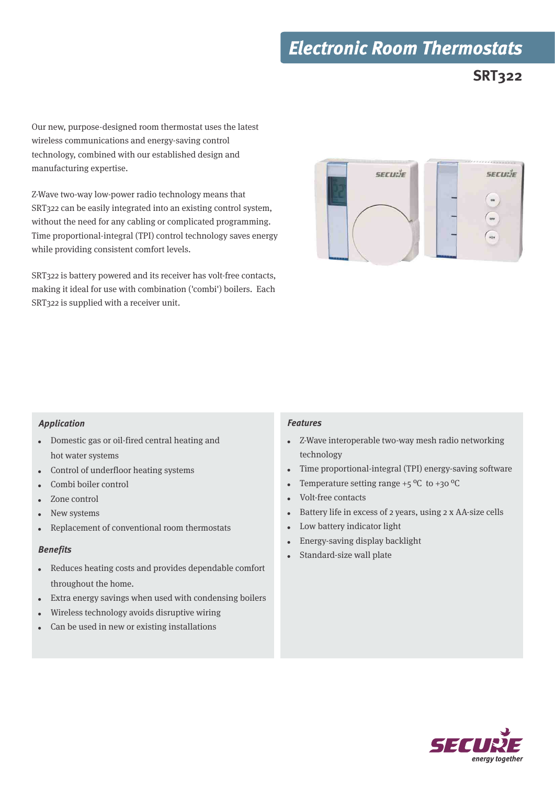**SRT322**

Our new, purpose-designed room thermostat uses the latest wireless communications and energy-saving control technology, combined with our established design and manufacturing expertise.

Z-Wave two-way low-power radio technology means that SRT322 can be easily integrated into an existing control system, without the need for any cabling or complicated programming. Time proportional-integral (TPI) control technology saves energy while providing consistent comfort levels.

SRT322 is battery powered and its receiver has volt-free contacts, making it ideal for use with combination ('combi') boilers. Each SRT322 is supplied with a receiver unit.



### **Application**

- Domestic gas or oil-fired central heating and hot water systems
- Control of underfloor heating systems
- Combi boiler control
- Zone control
- New systems
- $\bullet$  Replacement of conventional room thermostats

#### **Benefits**

- $\bullet$  Reduces heating costs and provides dependable comfort throughout the home.
- Extra energy savings when used with condensing boilers
- Wireless technology avoids disruptive wiring
- Can be used in new or existing installations

### **Features**

- Z-Wave interoperable two-way mesh radio networking technology
- Time proportional-integral (TPI) energy-saving software
- Temperature setting range +5  $^{\circ}$ C to +30  $^{\circ}$ C
- Volt-free contacts
- Battery life in excess of 2 years, using 2 x AA-size cells
- Low battery indicator light
- Energy-saving display backlight
- Standard-size wall plate